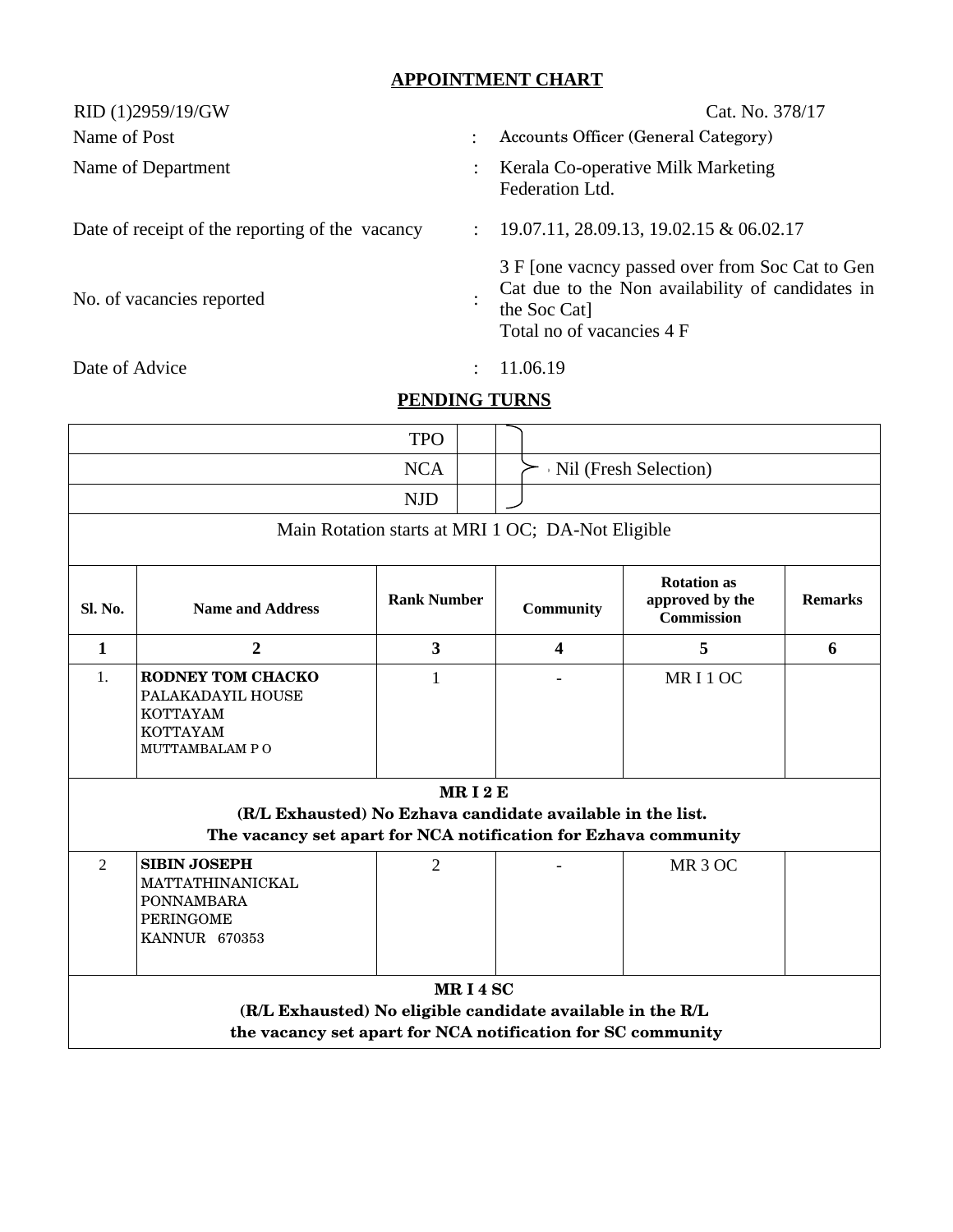## **APPOINTMENT CHART**

| RID (1)2959/19/GW                               |                      | Cat. No. 378/17                                                                                                                                  |  |  |  |  |  |  |
|-------------------------------------------------|----------------------|--------------------------------------------------------------------------------------------------------------------------------------------------|--|--|--|--|--|--|
| Name of Post                                    | $\ddot{\cdot}$       | Accounts Officer (General Category)                                                                                                              |  |  |  |  |  |  |
| Name of Department                              |                      | Kerala Co-operative Milk Marketing<br>Federation Ltd.                                                                                            |  |  |  |  |  |  |
| Date of receipt of the reporting of the vacancy | $\ddot{\phantom{a}}$ | 19.07.11, 28.09.13, 19.02.15 & 06.02.17                                                                                                          |  |  |  |  |  |  |
| No. of vacancies reported                       |                      | 3 F [one vacncy passed over from Soc Cat to Gen<br>Cat due to the Non availability of candidates in<br>the Soc Cat]<br>Total no of vacancies 4 F |  |  |  |  |  |  |
| Date of Advice                                  | $\bullet$            | 11.06.19                                                                                                                                         |  |  |  |  |  |  |
| <b>PENDING TURNS</b>                            |                      |                                                                                                                                                  |  |  |  |  |  |  |

|                                                                                                                               |                                                                                                          | <b>TPO</b>              |                       |                              |                                                            |                |  |  |
|-------------------------------------------------------------------------------------------------------------------------------|----------------------------------------------------------------------------------------------------------|-------------------------|-----------------------|------------------------------|------------------------------------------------------------|----------------|--|--|
| <b>NCA</b>                                                                                                                    |                                                                                                          |                         | Nil (Fresh Selection) |                              |                                                            |                |  |  |
| <b>NJD</b>                                                                                                                    |                                                                                                          |                         |                       |                              |                                                            |                |  |  |
| Main Rotation starts at MRI 1 OC; DA-Not Eligible                                                                             |                                                                                                          |                         |                       |                              |                                                            |                |  |  |
| <b>Sl. No.</b>                                                                                                                | <b>Name and Address</b>                                                                                  | <b>Rank Number</b>      |                       | <b>Community</b>             | <b>Rotation as</b><br>approved by the<br><b>Commission</b> | <b>Remarks</b> |  |  |
| $\mathbf{1}$                                                                                                                  | $\overline{2}$                                                                                           | $\overline{\mathbf{3}}$ |                       | $\overline{\mathbf{4}}$      | 5                                                          | 6              |  |  |
| 1 <sub>1</sub>                                                                                                                | <b>RODNEY TOM CHACKO</b><br>PALAKADAYIL HOUSE<br><b>KOTTAYAM</b><br><b>KOTTAYAM</b><br>MUTTAMBALAM PO    | $\mathbf{1}$            |                       | $\qquad \qquad \blacksquare$ | MRI1OC                                                     |                |  |  |
| MRI <sub>2</sub> E                                                                                                            |                                                                                                          |                         |                       |                              |                                                            |                |  |  |
| (R/L Exhausted) No Ezhava candidate available in the list.<br>The vacancy set apart for NCA notification for Ezhava community |                                                                                                          |                         |                       |                              |                                                            |                |  |  |
|                                                                                                                               |                                                                                                          |                         |                       |                              |                                                            |                |  |  |
| 2                                                                                                                             | <b>SIBIN JOSEPH</b><br>MATTATHINANICKAL<br><b>PONNAMBARA</b><br><b>PERINGOME</b><br><b>KANNUR 670353</b> | $\overline{2}$          |                       |                              | MR <sub>3</sub> OC                                         |                |  |  |
| MRI4SC                                                                                                                        |                                                                                                          |                         |                       |                              |                                                            |                |  |  |
| (R/L Exhausted) No eligible candidate available in the R/L<br>the vacancy set apart for NCA notification for SC community     |                                                                                                          |                         |                       |                              |                                                            |                |  |  |